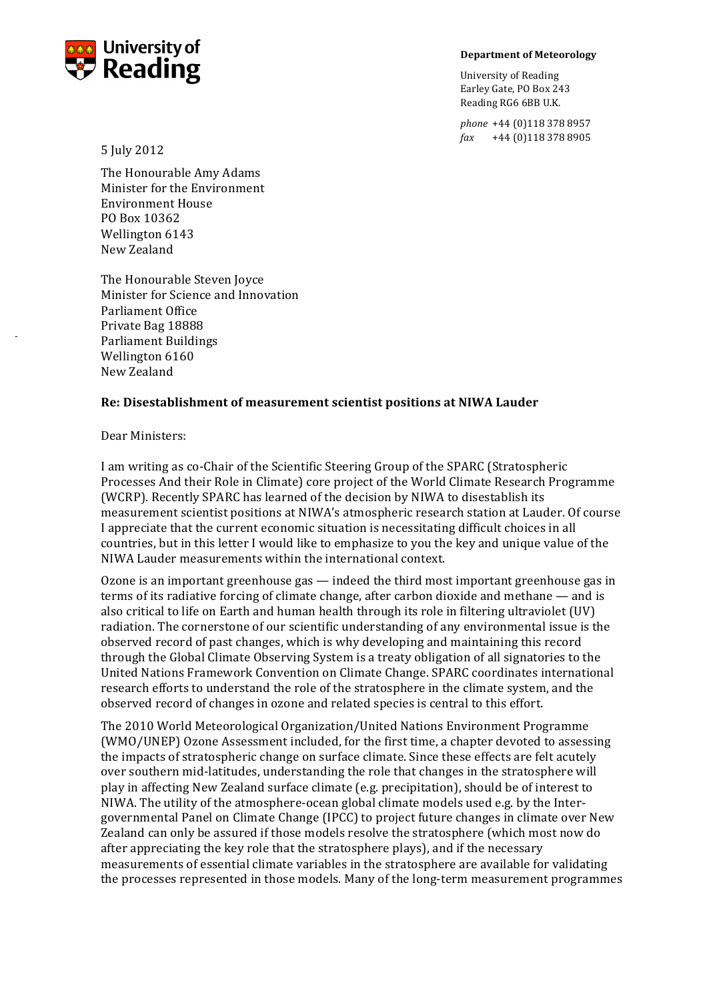

## **Department of Meteorology**

University of Reading Earley Gate, PO Box 243 Reading RG6 6BB U.K.

phone +44 (0)118 378 8957 *fax* +44 (0)118 378 8905

5 July 2012

The Honourable Amy Adams Minister for the Environment Environment House PO!Box!10362 Wellington 6143 New!Zealand

The Honourable Steven Joyce Minister for Science and Innovation Parliament!Office Private Bag 18888 Parliament Buildings Wellington 6160 New!Zealand

## **Re:)Disestablishment)of)measurement)scientist)positions)at)NIWA)Lauder**

Dear Ministers:

!!!

I am writing as co-Chair of the Scientific Steering Group of the SPARC (Stratospheric Processes And their Role in Climate) core project of the World Climate Research Programme (WCRP). Recently SPARC has learned of the decision by NIWA to disestablish its measurement scientist positions at NIWA's atmospheric research station at Lauder. Of course I appreciate that the current economic situation is necessitating difficult choices in all countries, but in this letter I would like to emphasize to you the key and unique value of the NIWA Lauder measurements within the international context.

Ozone is an important greenhouse gas  $-$  indeed the third most important greenhouse gas in terms of its radiative forcing of climate change, after carbon dioxide and methane — and is also critical to life on Earth and human health through its role in filtering ultraviolet (UV) radiation. The cornerstone of our scientific understanding of any environmental issue is the observed record of past changes, which is why developing and maintaining this record through the Global Climate Observing System is a treaty obligation of all signatories to the United Nations Framework Convention on Climate Change. SPARC coordinates international research efforts to understand the role of the stratosphere in the climate system, and the observed record of changes in ozone and related species is central to this effort.

The 2010 World Meteorological Organization/United Nations Environment Programme (WMO/UNEP) Ozone Assessment included, for the first time, a chapter devoted to assessing the impacts of stratospheric change on surface climate. Since these effects are felt acutely over southern mid-latitudes, understanding the role that changes in the stratosphere will play in affecting New Zealand surface climate (e.g. precipitation), should be of interest to NIWA. The utility of the atmosphere-ocean global climate models used e.g. by the Intergovernmental Panel on Climate Change (IPCC) to project future changes in climate over New Zealand can only be assured if those models resolve the stratosphere (which most now do after appreciating the key role that the stratosphere plays), and if the necessary measurements of essential climate variables in the stratosphere are available for validating the processes represented in those models. Many of the long-term measurement programmes